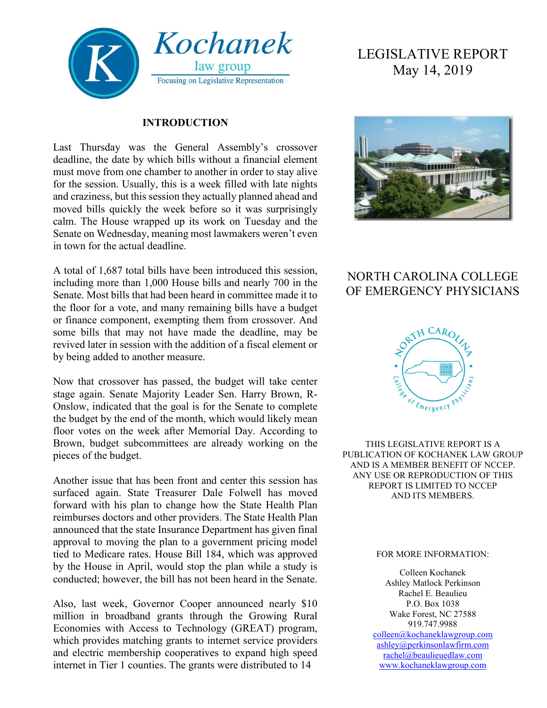

#### **INTRODUCTION**

Last Thursday was the General Assembly's crossover deadline, the date by which bills without a financial element must move from one chamber to another in order to stay alive for the session. Usually, this is a week filled with late nights and craziness, but this session they actually planned ahead and moved bills quickly the week before so it was surprisingly calm. The House wrapped up its work on Tuesday and the Senate on Wednesday, meaning most lawmakers weren't even in town for the actual deadline.

A total of 1,687 total bills have been introduced this session, including more than 1,000 House bills and nearly 700 in the Senate. Most bills that had been heard in committee made it to the floor for a vote, and many remaining bills have a budget or finance component, exempting them from crossover. And some bills that may not have made the deadline, may be revived later in session with the addition of a fiscal element or by being added to another measure.

Now that crossover has passed, the budget will take center stage again. Senate Majority Leader Sen. Harry Brown, R-Onslow, indicated that the goal is for the Senate to complete the budget by the end of the month, which would likely mean floor votes on the week after Memorial Day. According to Brown, budget subcommittees are already working on the pieces of the budget.

Another issue that has been front and center this session has surfaced again. State Treasurer Dale Folwell has moved forward with his plan to change how the State Health Plan reimburses doctors and other providers. The State Health Plan announced that the state Insurance Department has given final approval to moving the plan to a government pricing model tied to Medicare rates. House Bill 184, which was approved by the House in April, would stop the plan while a study is conducted; however, the bill has not been heard in the Senate.

Also, last week, Governor Cooper announced nearly \$10 million in broadband grants through the Growing Rural Economies with Access to Technology (GREAT) program, which provides matching grants to internet service providers and electric membership cooperatives to expand high speed internet in Tier 1 counties. The grants were distributed to 14

# LEGISLATIVE REPORT May 14, 2019



## NORTH CAROLINA COLLEGE OF EMERGENCY PHYSICIANS



THIS LEGISLATIVE REPORT IS A PUBLICATION OF KOCHANEK LAW GROUP AND IS A MEMBER BENEFIT OF NCCEP. ANY USE OR REPRODUCTION OF THIS REPORT IS LIMITED TO NCCEP AND ITS MEMBERS.

#### FOR MORE INFORMATION:

Colleen Kochanek Ashley Matlock Perkinson Rachel E. Beaulieu P.O. Box 1038 Wake Forest, NC 27588 919.747.9988 [colleen@kochaneklawgroup.com](mailto:colleen@kochaneklawgroup.com) [ashley@perkinsonlawfirm.com](mailto:ashley@perkinsonlawfirm.com) [rachel@beaulieuedlaw.com](mailto:rachel@beaulieuedlaw.com) [www.kochaneklawgroup.com](http://www.kochaneklawgroup.com/)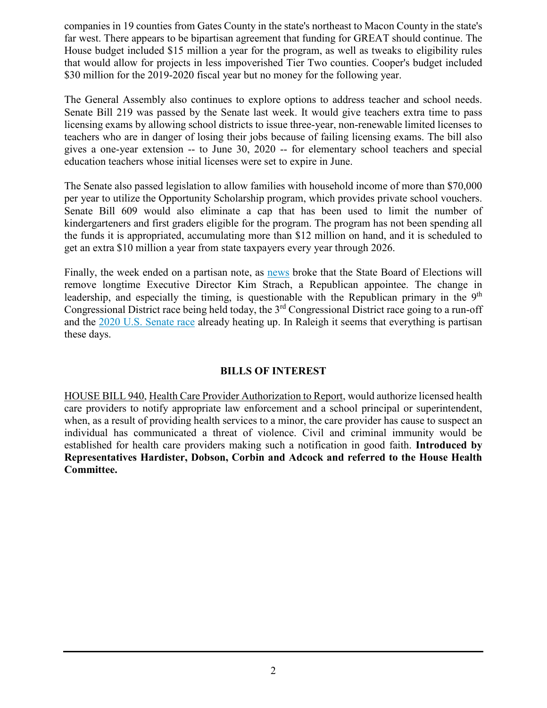companies in 19 counties from Gates County in the state's northeast to Macon County in the state's far west. There appears to be bipartisan agreement that funding for GREAT should continue. The House budget included \$15 million a year for the program, as well as tweaks to eligibility rules that would allow for projects in less impoverished Tier Two counties. Cooper's budget included \$30 million for the 2019-2020 fiscal year but no money for the following year.

The General Assembly also continues to explore options to address teacher and school needs. Senate Bill 219 was passed by the Senate last week. It would give teachers extra time to pass licensing exams by allowing school districts to issue three-year, non-renewable limited licenses to teachers who are in danger of losing their jobs because of failing licensing exams. The bill also gives a one-year extension -- to June 30, 2020 -- for elementary school teachers and special education teachers whose initial licenses were set to expire in June.

The Senate also passed legislation to allow families with household income of more than \$70,000 per year to utilize the Opportunity Scholarship program, which provides private school vouchers. Senate Bill 609 would also eliminate a cap that has been used to limit the number of kindergarteners and first graders eligible for the program. The program has not been spending all the funds it is appropriated, accumulating more than \$12 million on hand, and it is scheduled to get an extra \$10 million a year from state taxpayers every year through 2026.

Finally, the week ended on a partisan note, as [news](https://www.wral.com/state-board-of-elections-to-oust-executive-director/18378085/) broke that the State Board of Elections will remove longtime Executive Director Kim Strach, a Republican appointee. The change in leadership, and especially the timing, is questionable with the Republican primary in the 9<sup>th</sup> Congressional District race being held today, the 3rd Congressional District race going to a run-off and the [2020 U.S. Senate race](https://www.wral.com/cowell-considering-senate-run/18376851/) already heating up. In Raleigh it seems that everything is partisan these days.

#### **BILLS OF INTEREST**

HOUSE BILL 940, Health Care Provider Authorization to Report, would authorize licensed health care providers to notify appropriate law enforcement and a school principal or superintendent, when, as a result of providing health services to a minor, the care provider has cause to suspect an individual has communicated a threat of violence. Civil and criminal immunity would be established for health care providers making such a notification in good faith. **Introduced by Representatives Hardister, Dobson, Corbin and Adcock and referred to the House Health Committee.**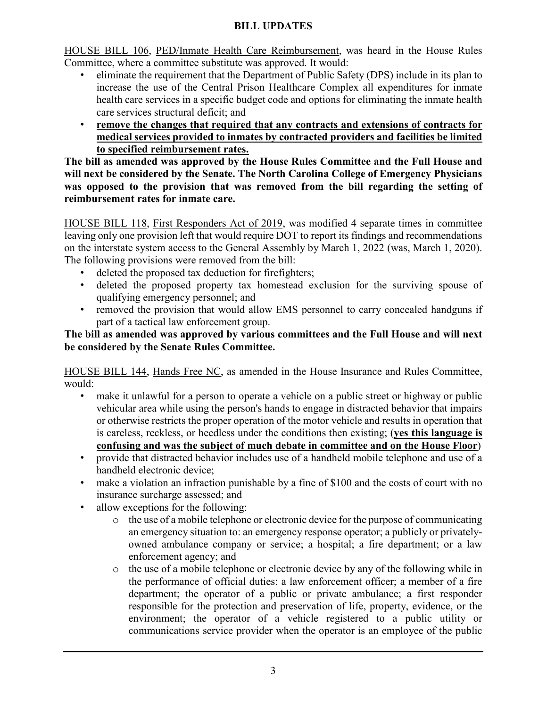#### **BILL UPDATES**

HOUSE BILL 106, PED/Inmate Health Care Reimbursement, was heard in the House Rules Committee, where a committee substitute was approved. It would:

- eliminate the requirement that the Department of Public Safety (DPS) include in its plan to increase the use of the Central Prison Healthcare Complex all expenditures for inmate health care services in a specific budget code and options for eliminating the inmate health care services structural deficit; and
- **remove the changes that required that any contracts and extensions of contracts for medical services provided to inmates by contracted providers and facilities be limited to specified reimbursement rates.**

**The bill as amended was approved by the House Rules Committee and the Full House and will next be considered by the Senate. The North Carolina College of Emergency Physicians was opposed to the provision that was removed from the bill regarding the setting of reimbursement rates for inmate care.**

HOUSE BILL 118, First Responders Act of 2019, was modified 4 separate times in committee leaving only one provision left that would require DOT to report its findings and recommendations on the interstate system access to the General Assembly by March 1, 2022 (was, March 1, 2020). The following provisions were removed from the bill:

- deleted the proposed tax deduction for firefighters;
- deleted the proposed property tax homestead exclusion for the surviving spouse of qualifying emergency personnel; and
- removed the provision that would allow EMS personnel to carry concealed handguns if part of a tactical law enforcement group.

#### **The bill as amended was approved by various committees and the Full House and will next be considered by the Senate Rules Committee.**

HOUSE BILL 144, Hands Free NC, as amended in the House Insurance and Rules Committee, would:

- make it unlawful for a person to operate a vehicle on a public street or highway or public vehicular area while using the person's hands to engage in distracted behavior that impairs or otherwise restricts the proper operation of the motor vehicle and results in operation that is careless, reckless, or heedless under the conditions then existing; (**yes this language is confusing and was the subject of much debate in committee and on the House Floor**)
- provide that distracted behavior includes use of a handheld mobile telephone and use of a handheld electronic device;
- make a violation an infraction punishable by a fine of \$100 and the costs of court with no insurance surcharge assessed; and
- allow exceptions for the following:
	- o the use of a mobile telephone or electronic device for the purpose of communicating an emergency situation to: an emergency response operator; a publicly or privatelyowned ambulance company or service; a hospital; a fire department; or a law enforcement agency; and
	- o the use of a mobile telephone or electronic device by any of the following while in the performance of official duties: a law enforcement officer; a member of a fire department; the operator of a public or private ambulance; a first responder responsible for the protection and preservation of life, property, evidence, or the environment; the operator of a vehicle registered to a public utility or communications service provider when the operator is an employee of the public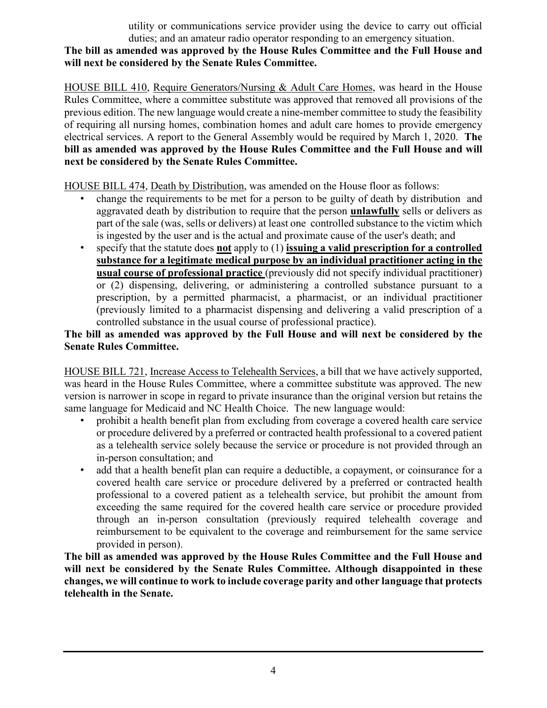utility or communications service provider using the device to carry out official duties; and an amateur radio operator responding to an emergency situation.

**The bill as amended was approved by the House Rules Committee and the Full House and will next be considered by the Senate Rules Committee.**

HOUSE BILL 410, Require Generators/Nursing & Adult Care Homes, was heard in the House Rules Committee, where a committee substitute was approved that removed all provisions of the previous edition. The new language would create a nine-member committee to study the feasibility of requiring all nursing homes, combination homes and adult care homes to provide emergency electrical services. A report to the General Assembly would be required by March 1, 2020. **The bill as amended was approved by the House Rules Committee and the Full House and will next be considered by the Senate Rules Committee.**

HOUSE BILL 474, Death by Distribution, was amended on the House floor as follows:

- change the requirements to be met for a person to be guilty of death by distribution and aggravated death by distribution to require that the person **unlawfully** sells or delivers as part of the sale (was, sells or delivers) at least one controlled substance to the victim which is ingested by the user and is the actual and proximate cause of the user's death; and
- specify that the statute does **not** apply to (1) **issuing a valid prescription for a controlled substance for a legitimate medical purpose by an individual practitioner acting in the usual course of professional practice** (previously did not specify individual practitioner) or (2) dispensing, delivering, or administering a controlled substance pursuant to a prescription, by a permitted pharmacist, a pharmacist, or an individual practitioner (previously limited to a pharmacist dispensing and delivering a valid prescription of a controlled substance in the usual course of professional practice).

### **The bill as amended was approved by the Full House and will next be considered by the Senate Rules Committee.**

HOUSE BILL 721, Increase Access to Telehealth Services, a bill that we have actively supported, was heard in the House Rules Committee, where a committee substitute was approved. The new version is narrower in scope in regard to private insurance than the original version but retains the same language for Medicaid and NC Health Choice. The new language would:

- prohibit a health benefit plan from excluding from coverage a covered health care service or procedure delivered by a preferred or contracted health professional to a covered patient as a telehealth service solely because the service or procedure is not provided through an in-person consultation; and
- add that a health benefit plan can require a deductible, a copayment, or coinsurance for a covered health care service or procedure delivered by a preferred or contracted health professional to a covered patient as a telehealth service, but prohibit the amount from exceeding the same required for the covered health care service or procedure provided through an in-person consultation (previously required telehealth coverage and reimbursement to be equivalent to the coverage and reimbursement for the same service provided in person).

**The bill as amended was approved by the House Rules Committee and the Full House and will next be considered by the Senate Rules Committee. Although disappointed in these changes, we will continue to work to include coverage parity and other language that protects telehealth in the Senate.**